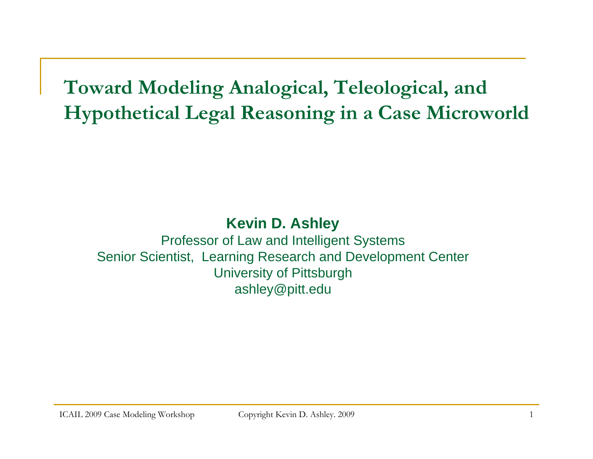**Toward Modeling Analogical, Teleological, and Hypothetical Legal Reasoning in a Case Microworld**

#### **Kevin D. Ashley**

Professor of Law and Intelligent Systems Senior Scientist, Learning Research and Development Center University of Pittsburgh ashley@pitt.edu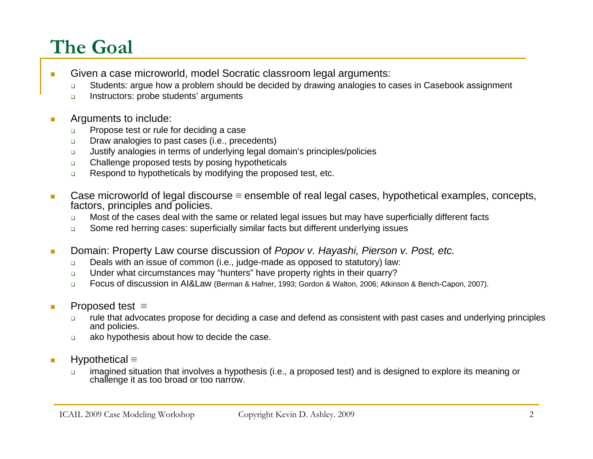### **The Goal**

- $\mathcal{L}_{\mathcal{A}}$  Given a case microworld, model Socratic classroom legal arguments:
	- $\Box$ Students: argue how a problem should be decided by drawing analogies to cases in Casebook assignment
	- $\Box$ Instructors: probe students' arguments
- **T**  Arguments to include:
	- $\Box$ Propose test or rule for deciding a case
	- $\Box$ Draw analogies to past cases (i.e., precedents)
	- $\Box$ Justify analogies in terms of underlying legal domain's principles/policies
	- $\Box$ Challenge proposed tests by posing hypotheticals
	- $\Box$ Respond to hypotheticals by modifying the proposed test, etc.
- $\mathbf{r}$  Case microworld of legal discourse <sup>≡</sup> ensemble of real legal cases, hypothetical examples, concepts, factors, principles and policies.
	- $\Box$ Most of the cases deal with the same or related legal issues but may have superficially different facts
	- $\Box$ Some red herring cases: superficially similar facts but different underlying issues
- **T**  Domain: Property Law course discussion of *Popov v. Hayashi, Pierson v. Post, etc.*
	- $\Box$ Deals with an issue of common (i.e., judge-made as opposed to statutory) law:
	- $\Box$ Under what circumstances may "hunters" have property rights in their quarry?
	- $\Box$ Focus of discussion in AI&Law (Berman & Hafner, 1993; Gordon & Walton, 2006; Atkinson & Bench-Capon, 2007).
- $\mathcal{L}_{\mathcal{A}}$  Proposed test <sup>≡</sup>
	- $\Box$  rule that advocates propose for deciding a case and defend as consistent with past cases and underlying principles and policies.
	- $\Box$ ako hypothesis about how to decide the case.
- **T**  Hypothetical <sup>≡</sup>
	- $\Box$  imagined situation that involves a hypothesis (i.e., a proposed test) and is designed to explore its meaning or challenge it as too broad or too narrow.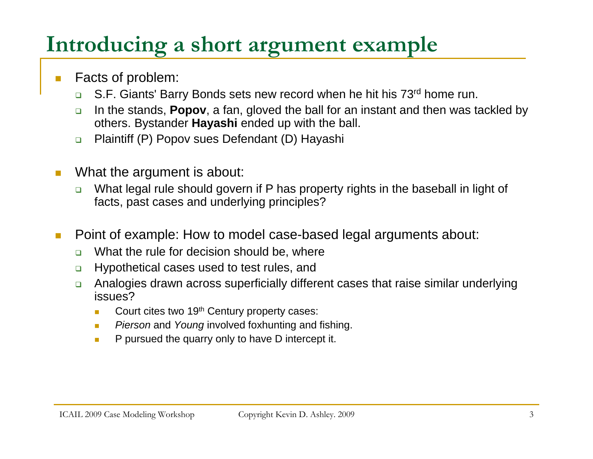# **Introducing a short argument example**

- Facts of problem:
	- $\Box$ S.F. Giants' Barry Bonds sets new record when he hit his 73rd home run.
	- $\Box$  In the stands, **Popov**, a fan, gloved the ball for an instant and then was tackled by others. Bystander **Hayashi** ended up with the ball.
	- $\Box$ Plaintiff (P) Popov sues Defendant (D) Hayashi
- $\sim$  What the argument is about:
	- $\Box$  What legal rule should govern if P has property rights in the baseball in light of facts, past cases and underlying principles?
- Point of example: How to model case-based legal arguments about:
	- $\Box$ What the rule for decision should be, where
	- $\Box$ Hypothetical cases used to test rules, and
	- $\Box$  Analogies drawn across superficially different cases that raise similar underlying issues?
		- Court cites two 19<sup>th</sup> Century property cases:
		- *Pierson* and *Young* involved foxhunting and fishing.
		- $\mathbf{r}$ P pursued the quarry only to have D intercept it.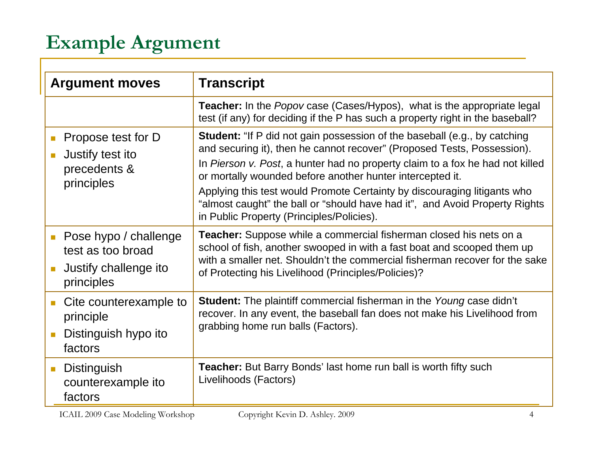#### **Example Argument**

| <b>Argument moves</b>                                                             | <b>Transcript</b>                                                                                                                                                                                                                                                                                                                                                                                                                                                                                                 |
|-----------------------------------------------------------------------------------|-------------------------------------------------------------------------------------------------------------------------------------------------------------------------------------------------------------------------------------------------------------------------------------------------------------------------------------------------------------------------------------------------------------------------------------------------------------------------------------------------------------------|
|                                                                                   | <b>Teacher:</b> In the <i>Popov</i> case (Cases/Hypos), what is the appropriate legal<br>test (if any) for deciding if the P has such a property right in the baseball?                                                                                                                                                                                                                                                                                                                                           |
| Propose test for D<br>Justify test ito<br>precedents &<br>principles              | <b>Student:</b> "If P did not gain possession of the baseball (e.g., by catching<br>and securing it), then he cannot recover" (Proposed Tests, Possession).<br>In Pierson v. Post, a hunter had no property claim to a fox he had not killed<br>or mortally wounded before another hunter intercepted it.<br>Applying this test would Promote Certainty by discouraging litigants who<br>"almost caught" the ball or "should have had it", and Avoid Property Rights<br>in Public Property (Principles/Policies). |
| Pose hypo / challenge<br>test as too broad<br>Justify challenge ito<br>principles | <b>Teacher:</b> Suppose while a commercial fisherman closed his nets on a<br>school of fish, another swooped in with a fast boat and scooped them up<br>with a smaller net. Shouldn't the commercial fisherman recover for the sake<br>of Protecting his Livelihood (Principles/Policies)?                                                                                                                                                                                                                        |
| Cite counterexample to<br>principle<br>Distinguish hypo ito<br>factors            | <b>Student:</b> The plaintiff commercial fisherman in the Young case didn't<br>recover. In any event, the baseball fan does not make his Livelihood from<br>grabbing home run balls (Factors).                                                                                                                                                                                                                                                                                                                    |
| Distinguish<br>$\mathbb{R}^n$<br>counterexample ito<br>factors                    | <b>Teacher:</b> But Barry Bonds' last home run ball is worth fifty such<br>Livelihoods (Factors)                                                                                                                                                                                                                                                                                                                                                                                                                  |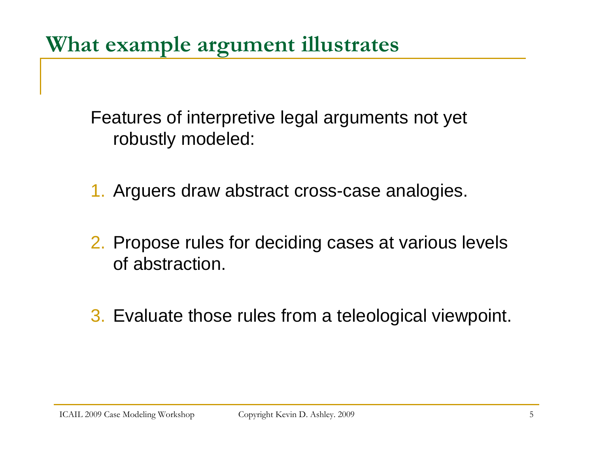**What example argument illustrates**

Features of interpretive legal arguments not yet robustly modeled:

1. Arguers draw abstract cross-case analogies.

- 2. Propose rules for deciding cases at various levels of abstraction.
- 3. Evaluate those rules from a teleological viewpoint.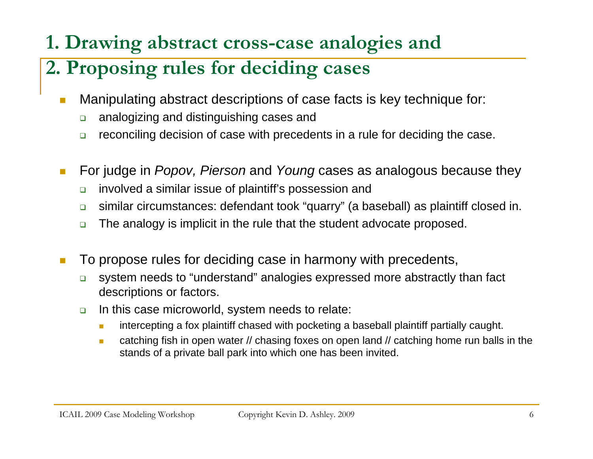#### **1. Drawing abstract cross-case analogies and**

#### **2. Proposing rules for deciding cases**

- П Manipulating abstract descriptions of case facts is key technique for:
	- $\Box$ analogizing and distinguishing cases and
	- $\Box$ reconciling decision of case with precedents in a rule for deciding the case.
- **I**  For judge in *Popov, Pierson* and *Young* cases as analogous because they
	- $\Box$ involved a similar issue of plaintiff's possession and
	- $\Box$ similar circumstances: defendant took "quarry" (a baseball) as plaintiff closed in.
	- $\Box$ The analogy is implicit in the rule that the student advocate proposed.
- П To propose rules for deciding case in harmony with precedents,
	- $\Box$  system needs to "understand" analogies expressed more abstractly than fact descriptions or factors.
	- $\Box$  In this case microworld, system needs to relate:
		- $\mathcal{L}_{\mathcal{A}}$ intercepting a fox plaintiff chased with pocketing a baseball plaintiff partially caught.
		- $\mathcal{L}_{\mathcal{A}}$  catching fish in open water // chasing foxes on open land // catching home run balls in the stands of a private ball park into which one has been invited.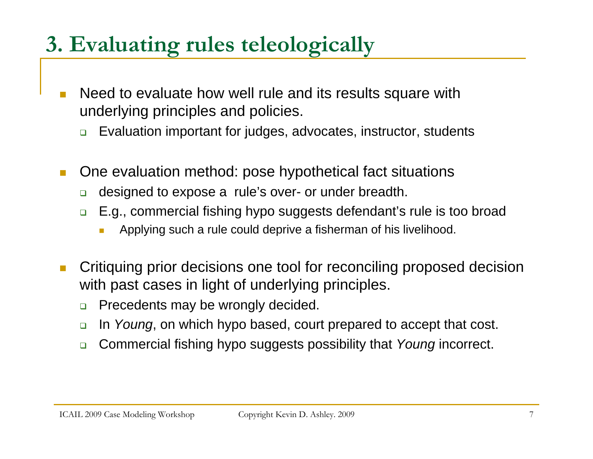# **3. Evaluating rules teleologically**

- П Need to evaluate how well rule and its results square with underlying principles and policies.
	- $\Box$ Evaluation important for judges, advocates, instructor, students
- **I**  One evaluation method: pose hypothetical fact situations
	- $\Box$ designed to expose a rule's over- or under breadth.
	- $\Box$  E.g., commercial fishing hypo suggests defendant's rule is too broad
		- Applying such a rule could deprive a fisherman of his livelihood.
- П Critiquing prior decisions one tool for reconciling proposed decision with past cases in light of underlying principles.
	- $\Box$ Precedents may be wrongly decided.
	- $\Box$ In *Young*, on which hypo based, court prepared to accept that cost.
	- $\Box$ Commercial fishing hypo suggests possibility that *Young* incorrect.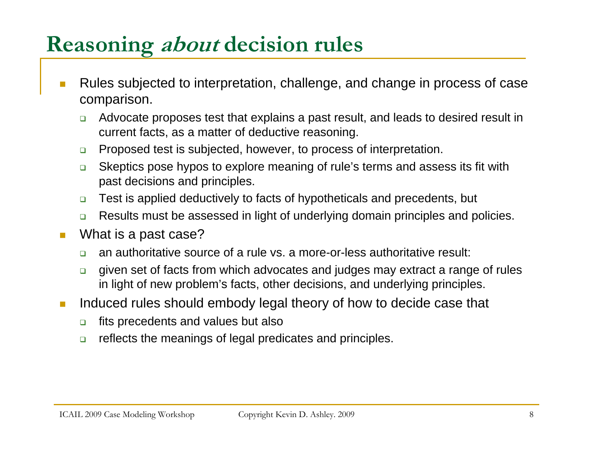# **Reasoning about decision rules**

- $\mathcal{C}^{\mathcal{A}}$  Rules subjected to interpretation, challenge, and change in process of case comparison.
	- $\Box$  Advocate proposes test that explains a past result, and leads to desired result in current facts, as a matter of deductive reasoning.
	- $\Box$ Proposed test is subjected, however, to process of interpretation.
	- $\Box$  Skeptics pose hypos to explore meaning of rule's terms and assess its fit with past decisions and principles.
	- $\Box$ Test is applied deductively to facts of hypotheticals and precedents, but
	- $\Box$ Results must be assessed in light of underlying domain principles and policies.
- $\mathcal{C}^{\mathcal{A}}$  What is a past case?
	- $\Box$ an authoritative source of a rule vs. a more-or-less authoritative result:
	- $\Box$  given set of facts from which advocates and judges may extract a range of rules in light of new problem's facts, other decisions, and underlying principles.
- $\mathbb{R}^n$  Induced rules should embody legal theory of how to decide case that
	- $\Box$ fits precedents and values but also
	- $\Box$ reflects the meanings of legal predicates and principles.